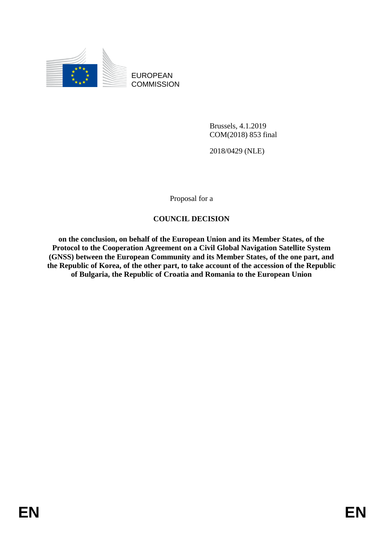

EUROPEAN **COMMISSION** 

> Brussels, 4.1.2019 COM(2018) 853 final

2018/0429 (NLE)

Proposal for a

# **COUNCIL DECISION**

**on the conclusion, on behalf of the European Union and its Member States, of the Protocol to the Cooperation Agreement on a Civil Global Navigation Satellite System (GNSS) between the European Community and its Member States, of the one part, and the Republic of Korea, of the other part, to take account of the accession of the Republic of Bulgaria, the Republic of Croatia and Romania to the European Union**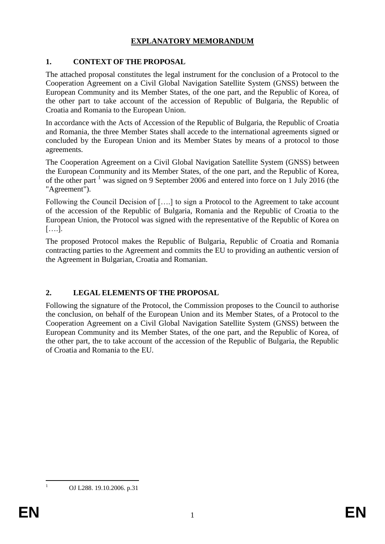# **EXPLANATORY MEMORANDUM**

# **1. CONTEXT OF THE PROPOSAL**

The attached proposal constitutes the legal instrument for the conclusion of a Protocol to the Cooperation Agreement on a Civil Global Navigation Satellite System (GNSS) between the European Community and its Member States, of the one part, and the Republic of Korea, of the other part to take account of the accession of Republic of Bulgaria, the Republic of Croatia and Romania to the European Union.

In accordance with the Acts of Accession of the Republic of Bulgaria, the Republic of Croatia and Romania, the three Member States shall accede to the international agreements signed or concluded by the European Union and its Member States by means of a protocol to those agreements.

The Cooperation Agreement on a Civil Global Navigation Satellite System (GNSS) between the European Community and its Member States, of the one part, and the Republic of Korea, of the other part  $<sup>1</sup>$  was signed on 9 September 2006 and entered into force on 1 July 2016 (the</sup> "Agreement").

Following the Council Decision of [….] to sign a Protocol to the Agreement to take account of the accession of the Republic of Bulgaria, Romania and the Republic of Croatia to the European Union, the Protocol was signed with the representative of the Republic of Korea on [….].

The proposed Protocol makes the Republic of Bulgaria, Republic of Croatia and Romania contracting parties to the Agreement and commits the EU to providing an authentic version of the Agreement in Bulgarian, Croatia and Romanian.

# **2. LEGAL ELEMENTS OF THE PROPOSAL**

Following the signature of the Protocol, the Commission proposes to the Council to authorise the conclusion, on behalf of the European Union and its Member States, of a Protocol to the Cooperation Agreement on a Civil Global Navigation Satellite System (GNSS) between the European Community and its Member States, of the one part, and the Republic of Korea, of the other part, the to take account of the accession of the Republic of Bulgaria, the Republic of Croatia and Romania to the EU.

1

<sup>1</sup> OJ L288. 19.10.2006. p.31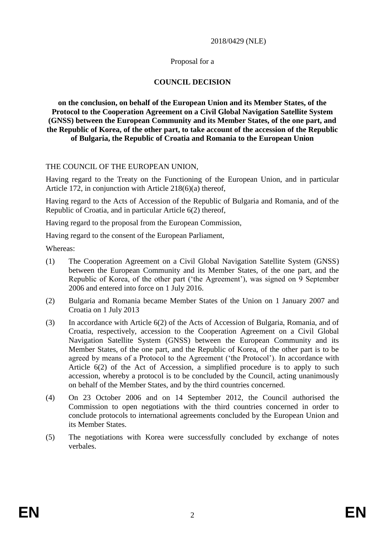#### 2018/0429 (NLE)

#### Proposal for a

## **COUNCIL DECISION**

**on the conclusion, on behalf of the European Union and its Member States, of the Protocol to the Cooperation Agreement on a Civil Global Navigation Satellite System (GNSS) between the European Community and its Member States, of the one part, and the Republic of Korea, of the other part, to take account of the accession of the Republic of Bulgaria, the Republic of Croatia and Romania to the European Union** 

## THE COUNCIL OF THE EUROPEAN UNION,

Having regard to the Treaty on the Functioning of the European Union, and in particular Article 172, in conjunction with Article 218(6)(a) thereof,

Having regard to the Acts of Accession of the Republic of Bulgaria and Romania, and of the Republic of Croatia, and in particular Article 6(2) thereof,

Having regard to the proposal from the European Commission,

Having regard to the consent of the European Parliament,

Whereas:

- (1) The Cooperation Agreement on a Civil Global Navigation Satellite System (GNSS) between the European Community and its Member States, of the one part, and the Republic of Korea, of the other part ('the Agreement'), was signed on 9 September 2006 and entered into force on 1 July 2016.
- (2) Bulgaria and Romania became Member States of the Union on 1 January 2007 and Croatia on 1 July 2013
- (3) In accordance with Article 6(2) of the Acts of Accession of Bulgaria, Romania, and of Croatia, respectively, accession to the Cooperation Agreement on a Civil Global Navigation Satellite System (GNSS) between the European Community and its Member States, of the one part, and the Republic of Korea, of the other part is to be agreed by means of a Protocol to the Agreement ('the Protocol'). In accordance with Article 6(2) of the Act of Accession, a simplified procedure is to apply to such accession, whereby a protocol is to be concluded by the Council, acting unanimously on behalf of the Member States, and by the third countries concerned.
- (4) On 23 October 2006 and on 14 September 2012, the Council authorised the Commission to open negotiations with the third countries concerned in order to conclude protocols to international agreements concluded by the European Union and its Member States.
- (5) The negotiations with Korea were successfully concluded by exchange of notes verbales.